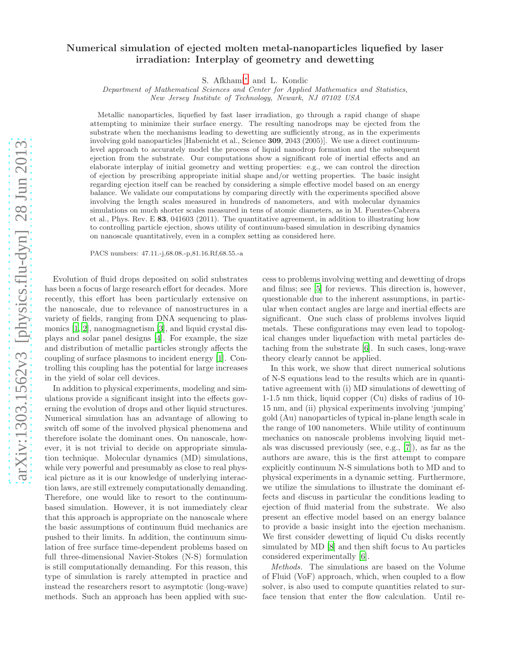# Numerical simulation of ejected molten metal-nanoparticles liquefied by laser irradiation: Interplay of geometry and dewetting

S. Afkhami[∗](#page-7-0) and L. Kondic

Department of Mathematical Sciences and Center for Applied Mathematics and Statistics, New Jersey Institute of Technology, Newark, NJ 07102 USA

Metallic nanoparticles, liquefied by fast laser irradiation, go through a rapid change of shape attempting to minimize their surface energy. The resulting nanodrops may be ejected from the substrate when the mechanisms leading to dewetting are sufficiently strong, as in the experiments involving gold nanoparticles [Habenicht et al., Science 309, 2043 (2005)]. We use a direct continuumlevel approach to accurately model the process of liquid nanodrop formation and the subsequent ejection from the substrate. Our computations show a significant role of inertial effects and an elaborate interplay of initial geometry and wetting properties: e.g., we can control the direction of ejection by prescribing appropriate initial shape and/or wetting properties. The basic insight regarding ejection itself can be reached by considering a simple effective model based on an energy balance. We validate our computations by comparing directly with the experiments specified above involving the length scales measured in hundreds of nanometers, and with molecular dynamics simulations on much shorter scales measured in tens of atomic diameters, as in M. Fuentes-Cabrera et al., Phys. Rev. E 83, 041603 (2011). The quantitative agreement, in addition to illustrating how to controlling particle ejection, shows utility of continuum-based simulation in describing dynamics on nanoscale quantitatively, even in a complex setting as considered here.

PACS numbers: 47.11.-j,68.08.-p,81.16.Rf,68.55.-a

Evolution of fluid drops deposited on solid substrates has been a focus of large research effort for decades. More recently, this effort has been particularly extensive on the nanoscale, due to relevance of nanostructures in a variety of fields, ranging from DNA sequencing to plasmonics [\[1,](#page-4-0) [2](#page-4-1)], nanogmagnetism [\[3](#page-4-2)], and liquid crystal displays and solar panel designs [\[4\]](#page-4-3). For example, the size and distribution of metallic particles strongly affects the coupling of surface plasmons to incident energy [\[1](#page-4-0)]. Controlling this coupling has the potential for large increases in the yield of solar cell devices.

In addition to physical experiments, modeling and simulations provide a significant insight into the effects governing the evolution of drops and other liquid structures. Numerical simulation has an advantage of allowing to switch off some of the involved physical phenomena and therefore isolate the dominant ones. On nanoscale, however, it is not trivial to decide on appropriate simulation technique. Molecular dynamics (MD) simulations, while very powerful and presumably as close to real physical picture as it is our knowledge of underlying interaction laws, are still extremely computationally demanding. Therefore, one would like to resort to the continuumbased simulation. However, it is not immediately clear that this approach is appropriate on the nanoscale where the basic assumptions of continuum fluid mechanics are pushed to their limits. In addition, the continuum simulation of free surface time-dependent problems based on full three-dimensional Navier-Stokes (N-S) formulation is still computationally demanding. For this reason, this type of simulation is rarely attempted in practice and instead the researchers resort to asymptotic (long-wave) methods. Such an approach has been applied with success to problems involving wetting and dewetting of drops and films; see [\[5\]](#page-4-4) for reviews. This direction is, however, questionable due to the inherent assumptions, in particular when contact angles are large and inertial effects are significant. One such class of problems involves liquid metals. These configurations may even lead to topological changes under liquefaction with metal particles detaching from the substrate [\[6](#page-4-5)]. In such cases, long-wave theory clearly cannot be applied.

In this work, we show that direct numerical solutions of N-S equations lead to the results which are in quantitative agreement with (i) MD simulations of dewetting of 1-1.5 nm thick, liquid copper (Cu) disks of radius of 10- 15 nm, and (ii) physical experiments involving 'jumping' gold (Au) nanoparticles of typical in-plane length scale in the range of 100 nanometers. While utility of continuum mechanics on nanoscale problems involving liquid metals was discussed previously (see, e.g., [\[7\]](#page-4-6)), as far as the authors are aware, this is the first attempt to compare explicitly continuum N-S simulations both to MD and to physical experiments in a dynamic setting. Furthermore, we utilize the simulations to illustrate the dominant effects and discuss in particular the conditions leading to ejection of fluid material from the substrate. We also present an effective model based on an energy balance to provide a basic insight into the ejection mechanism. We first consider dewetting of liquid Cu disks recently simulated by MD [\[8\]](#page-4-7) and then shift focus to Au particles considered experimentally [\[6](#page-4-5)].

Methods. The simulations are based on the Volume of Fluid (VoF) approach, which, when coupled to a flow solver, is also used to compute quantities related to surface tension that enter the flow calculation. Until re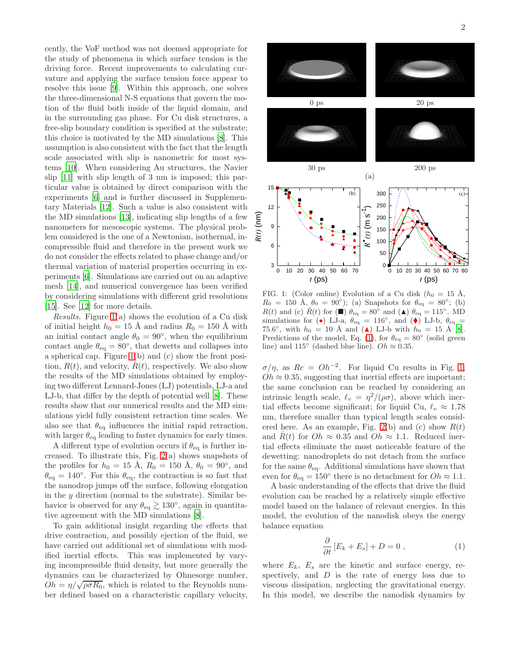cently, the VoF method was not deemed appropriate for the study of phenomena in which surface tension is the driving force. Recent improvements to calculating curvature and applying the surface tension force appear to resolve this issue [\[9\]](#page-4-8). Within this approach, one solves the three-dimensional N-S equations that govern the motion of the fluid both inside of the liquid domain, and in the surrounding gas phase. For Cu disk structures, a free-slip boundary condition is specified at the substrate; this choice is motivated by the MD simulations [\[8\]](#page-4-7). This assumption is also consistent with the fact that the length scale associated with slip is nanometric for most systems [\[10](#page-4-9)]. When considering Au structures, the Navier slip [\[11\]](#page-4-10) with slip length of 3 nm is imposed; this particular value is obtained by direct comparison with the experiments [\[6](#page-4-5)] and is further discussed in Supplementary Materials [\[12\]](#page-4-11). Such a value is also consistent with the MD simulations [\[13\]](#page-4-12), indicating slip lengths of a few nanometers for mesoscopic systems. The physical problem considered is the one of a Newtonian, isothermal, incompressible fluid and therefore in the present work we do not consider the effects related to phase change and/or thermal variation of material properties occurring in experiments [\[6](#page-4-5)]. Simulations are carried out on an adaptive mesh [\[14\]](#page-4-13), and numerical convergence has been verified by considering simulations with different grid resolutions [\[15\]](#page-4-14). See [\[12](#page-4-11)] for more details.

Results. Figure [1\(](#page-1-0)a) shows the evolution of a Cu disk of initial height  $h_0 = 15$  Å and radius  $R_0 = 150$  Å with an initial contact angle  $\theta_0 = 90^\circ$ , when the equilibrium contact angle  $\theta_{\text{eq}} = 80^{\circ}$ , that dewetts and collapses into a spherical cap. Figure [1\(](#page-1-0)b) and (c) show the front position,  $R(t)$ , and velocity,  $R(t)$ , respectively. We also show the results of the MD simulations obtained by employing two different Lennard-Jones (LJ) potentials, LJ-a and LJ-b, that differ by the depth of potential well [\[8\]](#page-4-7). These results show that our numerical results and the MD simulations yield fully consistent retraction time scales. We also see that  $\theta_{\text{eq}}$  influences the initial rapid retraction, with larger  $\theta_{\text{eq}}$  leading to faster dynamics for early times.

A different type of evolution occurs if  $\theta_{\text{eq}}$  is further increased. To illustrate this, Fig.  $2(a)$  shows snapshots of the profiles for  $h_0 = 15 \text{ Å}, R_0 = 150 \text{ Å}, \theta_0 = 90^{\circ}, \text{ and}$  $\theta_{\text{eq}} = 140^{\circ}$ . For this  $\theta_{\text{eq}}$ , the contraction is so fast that the nanodrop jumps off the surface, following elongation in the  $y$  direction (normal to the substrate). Similar behavior is observed for any  $\theta_{\text{eq}} \gtrsim 130^{\circ}$ , again in quantitative agreement with the MD simulations [\[8](#page-4-7)].

To gain additional insight regarding the effects that drive contraction, and possibly ejection of the fluid, we have carried out additional set of simulations with modified inertial effects. This was implemented by varying incompressible fluid density, but more generally the dynamics can be characterized by Ohnesorge number,  $Oh = \eta/\sqrt{\rho \sigma R_0}$ , which is related to the Reynolds number defined based on a characteristic capillary velocity,



<span id="page-1-0"></span>FIG. 1: (Color online) Evolution of a Cu disk  $(h_0 = 15 \text{ Å},$  $R_0 = 150 \text{ Å}, \ \theta_0 = 90^\circ \text{)}$ ; (a) Snapshots for  $\theta_{\text{eq}} = 80^\circ$ ; (b)  $R(t)$  and (c)  $\dot{R}(t)$  for  $(\blacksquare)$   $\theta_{\text{eq}} = 80^{\circ}$  and  $(\blacktriangle)$   $\theta_{\text{eq}} = 115^{\circ}$ . MD simulations for  $(\bullet)$  LJ-a,  $\theta_{\text{eq}} = 116^{\circ}$ , and  $(\bullet)$  LJ-b,  $\theta_{\text{eq}} =$ 75.6°, with  $h_0 = 10 \text{ Å}$  and (A) LJ-b with  $h_0 = 15 \text{ Å}$  [\[8\]](#page-4-7). Predictions of the model, Eq. [\(1\)](#page-1-1), for  $\theta_{\text{eq}} = 80^{\circ}$  (solid green line) and 115<sup>°</sup> (dashed blue line).  $Oh \approx 0.35$ .

 $\sigma/\eta$ , as  $Re = Oh^{-2}$ . For liquid Cu results in Fig. [1,](#page-1-0)  $Oh \approx 0.35$ , suggesting that inertial effects are important; the same conclusion can be reached by considering an intrinsic length scale,  $\ell_v = \eta^2/(\rho \sigma)$ , above which inertial effects become significant; for liquid Cu,  $\ell_v \approx 1.78$ nm, therefore smaller than typical length scales consid-ered here. As an example, Fig. [2\(](#page-2-0)b) and (c) show  $R(t)$ and  $R(t)$  for  $Oh \approx 0.35$  and  $Oh \approx 1.1$ . Reduced inertial effects eliminate the most noticeable feature of the dewetting: nanodroplets do not detach from the surface for the same  $\theta_{\text{eq}}$ . Additional simulations have shown that even for  $\theta_{\text{eq}} = 150^{\circ}$  there is no detachment for  $Oh \approx 1.1$ .

A basic understanding of the effects that drive the fluid evolution can be reached by a relatively simple effective model based on the balance of relevant energies. In this model, the evolution of the nanodisk obeys the energy balance equation

<span id="page-1-1"></span>
$$
\frac{\partial}{\partial t} \left[ E_k + E_s \right] + D = 0 \;, \tag{1}
$$

where  $E_k$ ,  $E_s$  are the kinetic and surface energy, respectively, and  $D$  is the rate of energy loss due to viscous dissipation, neglecting the gravitational energy. In this model, we describe the nanodisk dynamics by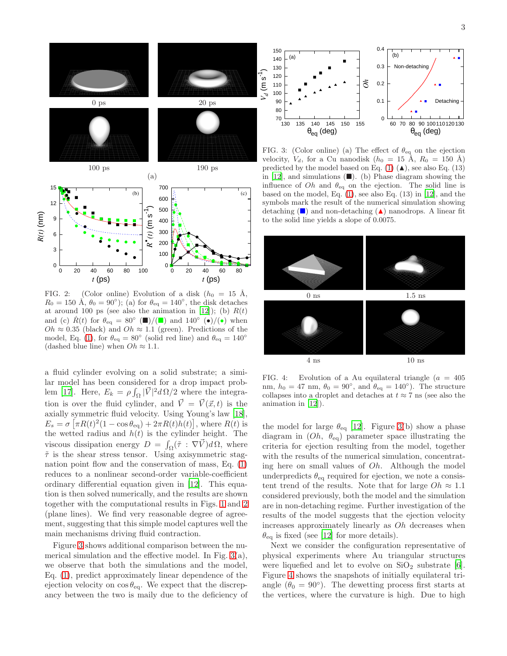

<span id="page-2-0"></span>FIG. 2: (Color online) Evolution of a disk  $(h_0 = 15 \text{ Å},$  $R_0 = 150 \text{ Å}, \theta_0 = 90^\circ \text{)}$ ; (a) for  $\theta_{\text{eq}} = 140^\circ$ , the disk detaches at around 100 ps (see also the animation in [\[12](#page-4-11)]); (b)  $R(t)$ and (c)  $\dot{R}(t)$  for  $\theta_{\text{eq}} = 80^{\circ}$  (■)/(■) and 140° (•)/(•) when  $Oh \approx 0.35$  (black) and  $Oh \approx 1.1$  (green). Predictions of the model, Eq. [\(1\)](#page-1-1), for  $\theta_{\text{eq}} = 80^{\circ}$  (solid red line) and  $\theta_{\text{eq}} = 140^{\circ}$ (dashed blue line) when  $Oh \approx 1.1$ .

a fluid cylinder evolving on a solid substrate; a similar model has been considered for a drop impact prob-lem [\[17](#page-4-15)]. Here,  $E_k = \rho \int_{\Omega} |\vec{V}|^2 d\Omega/2$  where the integration is over the fluid cylinder, and  $\vec{V} = \vec{V}(\vec{x}, t)$  is the axially symmetric fluid velocity. Using Young's law [\[18\]](#page-4-16),  $E_s = \sigma \left[ \pi R(t)^2 (1 - \cos \theta_{\text{eq}}) + 2\pi R(t) h(t) \right]$ , where  $R(t)$  is the wetted radius and  $h(t)$  is the cylinder height. The viscous dissipation energy  $D = \int_{\Omega} (\tilde{\tau} : \nabla \vec{V}) d\Omega$ , where  $\tilde{\tau}$  is the shear stress tensor. Using axisymmetric stagnation point flow and the conservation of mass, Eq. [\(1\)](#page-1-1) reduces to a nonlinear second-order variable-coefficient ordinary differential equation given in [\[12\]](#page-4-11). This equation is then solved numerically, and the results are shown together with the computational results in Figs. [1](#page-1-0) and [2](#page-2-0) (plane lines). We find very reasonable degree of agreement, suggesting that this simple model captures well the main mechanisms driving fluid contraction.

Figure [3](#page-2-1) shows additional comparison between the numerical simulation and the effective model. In Fig. [3\(](#page-2-1)a), we observe that both the simulations and the model, Eq. [\(1\)](#page-1-1), predict approximately linear dependence of the ejection velocity on  $\cos \theta_{\text{eq}}$ . We expect that the discrepancy between the two is maily due to the deficiency of



<span id="page-2-1"></span>FIG. 3: (Color online) (a) The effect of  $\theta_{\text{eq}}$  on the ejection velocity,  $V_d$ , for a Cu nanodisk  $(h_0 = 15 \text{ Å}, R_0 = 150 \text{ Å})$ predicted by the model based on Eq. [\(1\)](#page-1-1) ( $\triangle$ ), see also Eq. (13) in [\[12](#page-4-11)], and simulations  $(\blacksquare)$ . (b) Phase diagram showing the influence of  $Oh$  and  $\theta_{eq}$  on the ejection. The solid line is based on the model, Eq. [\(1\)](#page-1-1), see also Eq. (13) in [\[12\]](#page-4-11), and the symbols mark the result of the numerical simulation showing detaching  $(\blacksquare)$  and non-detaching  $(\blacktriangle)$  nanodrops. A linear fit to the solid line yields a slope of 0.0075.



<span id="page-2-2"></span>FIG. 4: Evolution of a Au equilateral triangle  $(a = 405$ nm,  $h_0 = 47$  nm,  $\theta_0 = 90^\circ$ , and  $\theta_{\text{eq}} = 140^\circ$ ). The structure collapses into a droplet and detaches at  $t \approx 7$  ns (see also the animation in [\[12](#page-4-11)]).

the model for large  $\theta_{\text{eq}}$  [\[12](#page-4-11)]. Figure [3\(](#page-2-1)b) show a phase diagram in  $(Oh, \theta_{eq})$  parameter space illustrating the criteria for ejection resulting from the model, together with the results of the numerical simulation, concentrating here on small values of Oh. Although the model underpredicts  $\theta_{\text{eq}}$  required for ejection, we note a consistent trend of the results. Note that for large  $Oh \approx 1.1$ considered previously, both the model and the simulation are in non-detaching regime. Further investigation of the results of the model suggests that the ejection velocity increases approximately linearly as Oh decreases when  $\theta_{\text{eq}}$  is fixed (see [\[12](#page-4-11)] for more details).

Next we consider the configuration representative of physical experiments where Au triangular structures were liquefied and let to evolve on  $SiO<sub>2</sub>$  substrate [\[6\]](#page-4-5). Figure [4](#page-2-2) shows the snapshots of initially equilateral triangle  $(\theta_0 = 90^\circ)$ . The dewetting process first starts at the vertices, where the curvature is high. Due to high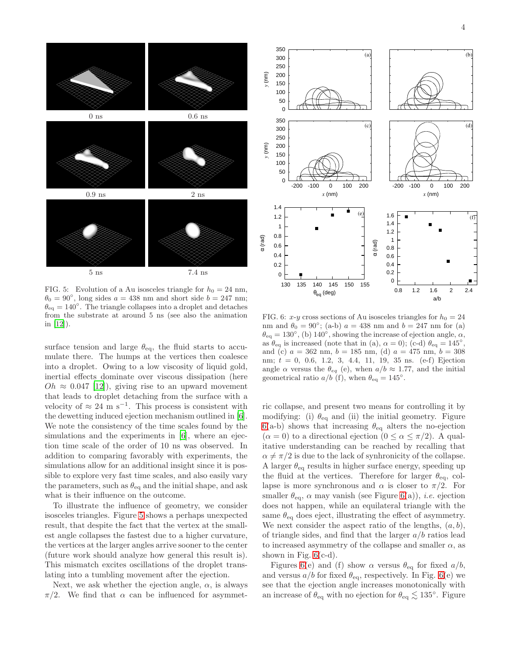

<span id="page-3-0"></span>FIG. 5: Evolution of a Au isosceles triangle for  $h_0 = 24$  nm,  $\theta_0 = 90^\circ$ , long sides  $a = 438$  nm and short side  $b = 247$  nm;  $\ddot{\theta}_{\text{eq}} = 140^{\circ}$ . The triangle collapses into a droplet and detaches from the substrate at around 5 ns (see also the animation in [\[12](#page-4-11)]).

surface tension and large  $\theta_{\text{eq}}$ , the fluid starts to accumulate there. The humps at the vertices then coalesce into a droplet. Owing to a low viscosity of liquid gold, inertial effects dominate over viscous dissipation (here  $Oh \approx 0.047$  [\[12\]](#page-4-11)), giving rise to an upward movement that leads to droplet detaching from the surface with a velocity of  $\approx 24 \text{ m s}^{-1}$ . This process is consistent with the dewetting induced ejection mechanism outlined in [\[6\]](#page-4-5). We note the consistency of the time scales found by the simulations and the experiments in [\[6](#page-4-5)], where an ejection time scale of the order of 10 ns was observed. In addition to comparing favorably with experiments, the simulations allow for an additional insight since it is possible to explore very fast time scales, and also easily vary the parameters, such as  $\theta_{\text{eq}}$  and the initial shape, and ask what is their influence on the outcome.

To illustrate the influence of geometry, we consider isosceles triangles. Figure [5](#page-3-0) shows a perhaps unexpected result, that despite the fact that the vertex at the smallest angle collapses the fastest due to a higher curvature, the vertices at the larger angles arrive sooner to the center (future work should analyze how general this result is). This mismatch excites oscillations of the droplet translating into a tumbling movement after the ejection.

Next, we ask whether the ejection angle,  $\alpha$ , is always  $\pi/2$ . We find that  $\alpha$  can be influenced for asymmet-



<span id="page-3-1"></span>FIG. 6: x-y cross sections of Au isosceles triangles for  $h_0 = 24$ nm and  $\theta_0 = 90^{\circ}$ ; (a-b)  $a = 438$  nm and  $b = 247$  nm for (a)  $\theta_{\text{eq}} = 130^{\circ}$ , (b)  $140^{\circ}$ , showing the increase of ejection angle,  $\alpha$ , as  $\theta_{\text{eq}}$  is increased (note that in (a),  $\alpha = 0$ ); (c-d)  $\theta_{\text{eq}} = 145^{\circ}$ , and (c)  $a = 362$  nm,  $b = 185$  nm, (d)  $a = 475$  nm,  $b = 308$ nm;  $t = 0$ , 0.6, 1.2, 3, 4.4, 11, 19, 35 ns. (e-f) Ejection angle  $\alpha$  versus the  $\theta_{eq}$  (e), when  $a/b \approx 1.77$ , and the initial geometrical ratio  $a/b$  (f), when  $\theta_{\text{eq}} = 145^{\circ}$ .

ric collapse, and present two means for controlling it by modifying: (i)  $\theta_{\text{eq}}$  and (ii) the initial geometry. Figure [6\(](#page-3-1)a-b) shows that increasing  $\theta_{\text{eq}}$  alters the no-ejection  $(\alpha = 0)$  to a directional ejection  $(0 \le \alpha \le \pi/2)$ . A qualitative understanding can be reached by recalling that  $\alpha \neq \pi/2$  is due to the lack of synhronicity of the collapse. A larger  $\theta_{\text{eq}}$  results in higher surface energy, speeding up the fluid at the vertices. Therefore for larger  $\theta_{\text{eq}}$ , collapse is more synchronous and  $\alpha$  is closer to  $\pi/2$ . For smaller  $\theta_{eq}$ ,  $\alpha$  may vanish (see Figure [6\(](#page-3-1)a)), *i.e.* ejection does not happen, while an equilateral triangle with the same  $\theta_{\text{eq}}$  does eject, illustrating the effect of asymmetry. We next consider the aspect ratio of the lengths,  $(a, b)$ , of triangle sides, and find that the larger  $a/b$  ratios lead to increased asymmetry of the collapse and smaller  $\alpha$ , as shown in Fig.  $6(c-d)$ .

Figures [6\(](#page-3-1)e) and (f) show  $\alpha$  versus  $\theta_{eq}$  for fixed  $a/b$ , and versus  $a/b$  for fixed  $\theta_{eq}$ , respectively. In Fig. [6\(](#page-3-1)e) we see that the ejection angle increases monotonically with an increase of  $\theta_{\text{eq}}$  with no ejection for  $\theta_{\text{eq}} \lesssim 135^{\circ}$ . Figure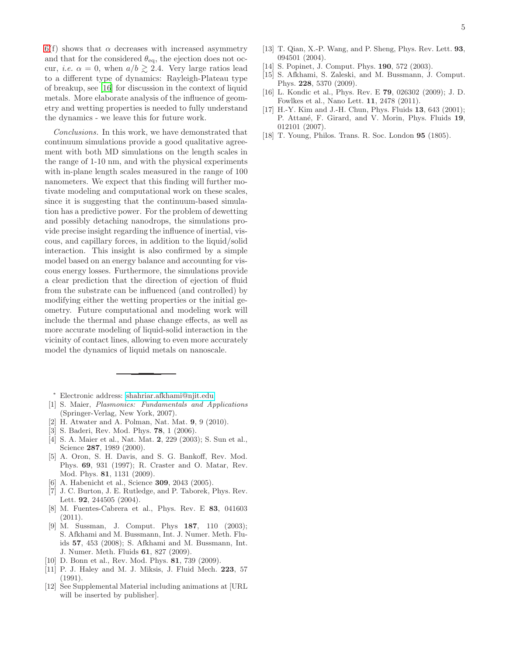$6(f)$  $6(f)$  shows that  $\alpha$  decreases with increased asymmetry and that for the considered  $\theta_{\text{eq}}$ , the ejection does not occur, *i.e.*  $\alpha = 0$ , when  $a/b \ge 2.4$ . Very large ratios lead to a different type of dynamics: Rayleigh-Plateau type of breakup, see [\[16](#page-4-17)] for discussion in the context of liquid metals. More elaborate analysis of the influence of geometry and wetting properties is needed to fully understand the dynamics - we leave this for future work.

Conclusions. In this work, we have demonstrated that continuum simulations provide a good qualitative agreement with both MD simulations on the length scales in the range of 1-10 nm, and with the physical experiments with in-plane length scales measured in the range of 100 nanometers. We expect that this finding will further motivate modeling and computational work on these scales, since it is suggesting that the continuum-based simulation has a predictive power. For the problem of dewetting and possibly detaching nanodrops, the simulations provide precise insight regarding the influence of inertial, viscous, and capillary forces, in addition to the liquid/solid interaction. This insight is also confirmed by a simple model based on an energy balance and accounting for viscous energy losses. Furthermore, the simulations provide a clear prediction that the direction of ejection of fluid from the substrate can be influenced (and controlled) by modifying either the wetting properties or the initial geometry. Future computational and modeling work will include the thermal and phase change effects, as well as more accurate modeling of liquid-solid interaction in the vicinity of contact lines, allowing to even more accurately model the dynamics of liquid metals on nanoscale.

- <sup>∗</sup> Electronic address: [shahriar.afkhami@njit.edu](mailto:shahriar.afkhami@njit.edu)
- <span id="page-4-0"></span>[1] S. Maier, Plasmonics: Fundamentals and Applications (Springer-Verlag, New York, 2007).
- <span id="page-4-1"></span>[2] H. Atwater and A. Polman, Nat. Mat. 9, 9 (2010).
- <span id="page-4-2"></span>[3] S. Baderi, Rev. Mod. Phys. **78**, 1 (2006).
- <span id="page-4-3"></span>[4] S. A. Maier et al., Nat. Mat. 2, 229 (2003); S. Sun et al., Science 287, 1989 (2000).
- <span id="page-4-4"></span>[5] A. Oron, S. H. Davis, and S. G. Bankoff, Rev. Mod. Phys. 69, 931 (1997); R. Craster and O. Matar, Rev. Mod. Phys. 81, 1131 (2009).
- <span id="page-4-5"></span>[6] A. Habenicht et al., Science **309**, 2043 (2005).
- <span id="page-4-6"></span>[7] J. C. Burton, J. E. Rutledge, and P. Taborek, Phys. Rev. Lett. 92, 244505 (2004).
- <span id="page-4-7"></span>[8] M. Fuentes-Cabrera et al., Phys. Rev. E 83, 041603  $(2011).$
- <span id="page-4-8"></span>[9] M. Sussman, J. Comput. Phys 187, 110 (2003); S. Afkhami and M. Bussmann, Int. J. Numer. Meth. Fluids 57, 453 (2008); S. Afkhami and M. Bussmann, Int. J. Numer. Meth. Fluids 61, 827 (2009).
- <span id="page-4-9"></span>[10] D. Bonn et al., Rev. Mod. Phys. 81, 739 (2009).
- <span id="page-4-10"></span>[11] P. J. Haley and M. J. Miksis, J. Fluid Mech. 223, 57 (1991).
- <span id="page-4-11"></span>[12] See Supplemental Material including animations at [URL will be inserted by publisher].
- <span id="page-4-12"></span>[13] T. Qian, X.-P. Wang, and P. Sheng, Phys. Rev. Lett. 93, 094501 (2004).
- <span id="page-4-13"></span>[14] S. Popinet, J. Comput. Phys. **190**, 572 (2003).
- <span id="page-4-14"></span>[15] S. Afkhami, S. Zaleski, and M. Bussmann, J. Comput. Phys. 228, 5370 (2009).
- <span id="page-4-17"></span>[16] L. Kondic et al., Phys. Rev. E 79, 026302 (2009); J. D. Fowlkes et al., Nano Lett. 11, 2478 (2011).
- <span id="page-4-15"></span>[17] H.-Y. Kim and J.-H. Chun, Phys. Fluids **13**, 643 (2001); P. Attané, F. Girard, and V. Morin, Phys. Fluids 19, 012101 (2007).
- <span id="page-4-16"></span>[18] T. Young, Philos. Trans. R. Soc. London 95 (1805).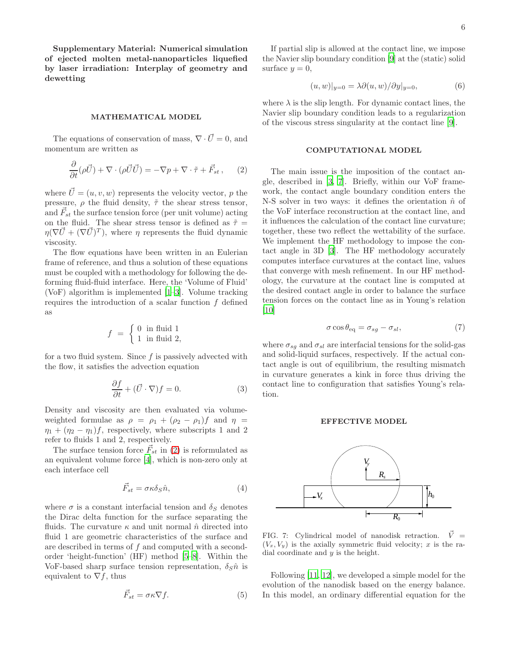Supplementary Material: Numerical simulation of ejected molten metal-nanoparticles liquefied by laser irradiation: Interplay of geometry and dewetting

#### MATHEMATICAL MODEL

The equations of conservation of mass,  $\nabla \cdot \vec{U} = 0$ , and momentum are written as

<span id="page-5-0"></span>
$$
\frac{\partial}{\partial t}(\rho \vec{U}) + \nabla \cdot (\rho \vec{U} \vec{U}) = -\nabla p + \nabla \cdot \tilde{\tau} + \vec{F}_{st}, \qquad (2)
$$

where  $\vec{U} = (u, v, w)$  represents the velocity vector, p the pressure,  $\rho$  the fluid density,  $\tilde{\tau}$  the shear stress tensor, and  $\vec{F}_{st}$  the surface tension force (per unit volume) acting on the fluid. The shear stress tensor is defined as  $\tilde{\tau}$  =  $\eta(\nabla \vec{U} + (\nabla \vec{U})^T)$ , where  $\eta$  represents the fluid dynamic viscosity.

The flow equations have been written in an Eulerian frame of reference, and thus a solution of these equations must be coupled with a methodology for following the deforming fluid-fluid interface. Here, the 'Volume of Fluid' (VoF) algorithm is implemented [\[1](#page-7-1)[–3\]](#page-7-2). Volume tracking requires the introduction of a scalar function  $f$  defined as

$$
f = \begin{cases} 0 & \text{in fluid } 1 \\ 1 & \text{in fluid } 2, \end{cases}
$$

for a two fluid system. Since  $f$  is passively advected with the flow, it satisfies the advection equation

$$
\frac{\partial f}{\partial t} + (\vec{U} \cdot \nabla)f = 0.
$$
 (3)

Density and viscosity are then evaluated via volumeweighted formulae as  $\rho = \rho_1 + (\rho_2 - \rho_1)f$  and  $\eta =$  $\eta_1 + (\eta_2 - \eta_1) f$ , respectively, where subscripts 1 and 2 refer to fluids 1 and 2, respectively.

The surface tension force  $\vec{F}_{st}$  in [\(2\)](#page-5-0) is reformulated as an equivalent volume force [\[4\]](#page-7-3), which is non-zero only at each interface cell

$$
\vec{F}_{st} = \sigma \kappa \delta_S \hat{n},\tag{4}
$$

where  $\sigma$  is a constant interfacial tension and  $\delta_S$  denotes the Dirac delta function for the surface separating the fluids. The curvature  $\kappa$  and unit normal  $\hat{n}$  directed into fluid 1 are geometric characteristics of the surface and are described in terms of f and computed with a secondorder 'height-function' (HF) method [\[5](#page-7-4)[–8\]](#page-7-5). Within the VoF-based sharp surface tension representation,  $\delta_S \hat{n}$  is equivalent to  $\nabla f$ , thus

$$
\vec{F}_{st} = \sigma \kappa \nabla f. \tag{5}
$$

If partial slip is allowed at the contact line, we impose the Navier slip boundary condition [\[9\]](#page-7-6) at the (static) solid surface  $y = 0$ ,

$$
(u, w)|_{y=0} = \lambda \partial(u, w) / \partial y|_{y=0}, \tag{6}
$$

where  $\lambda$  is the slip length. For dynamic contact lines, the Navier slip boundary condition leads to a regularization of the viscous stress singularity at the contact line [\[9](#page-7-6)].

#### COMPUTATIONAL MODEL

The main issue is the imposition of the contact angle, described in [\[3,](#page-7-2) [7\]](#page-7-7). Briefly, within our VoF framework, the contact angle boundary condition enters the N-S solver in two ways: it defines the orientation  $\hat{n}$  of the VoF interface reconstruction at the contact line, and it influences the calculation of the contact line curvature; together, these two reflect the wettability of the surface. We implement the HF methodology to impose the contact angle in 3D [\[3\]](#page-7-2). The HF methodology accurately computes interface curvatures at the contact line, values that converge with mesh refinement. In our HF methodology, the curvature at the contact line is computed at the desired contact angle in order to balance the surface tension forces on the contact line as in Young's relation  $|10|$ 

$$
\sigma \cos \theta_{\text{eq}} = \sigma_{sg} - \sigma_{sl},\tag{7}
$$

where  $\sigma_{sa}$  and  $\sigma_{sl}$  are interfacial tensions for the solid-gas and solid-liquid surfaces, respectively. If the actual contact angle is out of equilibrium, the resulting mismatch in curvature generates a kink in force thus driving the contact line to configuration that satisfies Young's relation.

### EFFECTIVE MODEL



<span id="page-5-1"></span>FIG. 7: Cylindrical model of nanodisk retraction.  $\vec{V}$  =  $(V_x, V_y)$  is the axially symmetric fluid velocity; x is the radial coordinate and  $y$  is the height.

Following [\[11,](#page-7-9) [12\]](#page-7-10), we developed a simple model for the evolution of the nanodisk based on the energy balance. In this model, an ordinary differential equation for the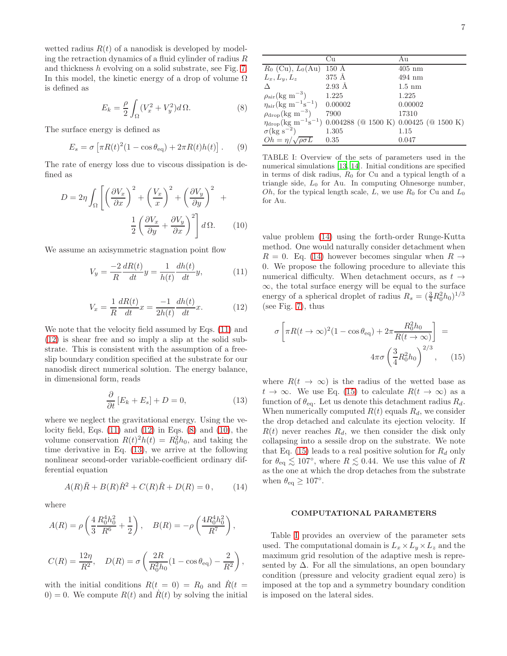wetted radius  $R(t)$  of a nanodisk is developed by modeling the retraction dynamics of a fluid cylinder of radius  $R$ and thickness h evolving on a solid substrate, see Fig. [7.](#page-5-1) In this model, the kinetic energy of a drop of volume  $\Omega$ is defined as

<span id="page-6-2"></span>
$$
E_k = \frac{\rho}{2} \int_{\Omega} (V_x^2 + V_y^2) d\Omega.
$$
 (8)

The surface energy is defined as

$$
E_s = \sigma \left[ \pi R(t)^2 (1 - \cos \theta_{\text{eq}}) + 2\pi R(t) h(t) \right]. \tag{9}
$$

The rate of energy loss due to viscous dissipation is defined as

<span id="page-6-3"></span>
$$
D = 2\eta \int_{\Omega} \left[ \left( \frac{\partial V_x}{\partial x} \right)^2 + \left( \frac{V_x}{x} \right)^2 + \left( \frac{\partial V_y}{\partial y} \right)^2 + \frac{1}{2} \left( \frac{\partial V_x}{\partial y} + \frac{\partial V_y}{\partial x} \right)^2 \right] d\Omega.
$$
 (10)

We assume an axisymmetric stagnation point flow

<span id="page-6-0"></span>
$$
V_y = \frac{-2}{R} \frac{dR(t)}{dt} y = \frac{1}{h(t)} \frac{dh(t)}{dt} y,\tag{11}
$$

<span id="page-6-1"></span>
$$
V_x = \frac{1}{R} \frac{dR(t)}{dt} x = \frac{-1}{2h(t)} \frac{dh(t)}{dt} x.
$$
 (12)

We note that the velocity field assumed by Eqs.  $(11)$  and [\(12\)](#page-6-1) is shear free and so imply a slip at the solid substrate. This is consistent with the assumption of a freeslip boundary condition specified at the substrate for our nanodisk direct numerical solution. The energy balance, in dimensional form, reads

<span id="page-6-4"></span>
$$
\frac{\partial}{\partial t} \left[ E_k + E_s \right] + D = 0, \tag{13}
$$

where we neglect the gravitational energy. Using the velocity field, Eqs.  $(11)$  and  $(12)$  in Eqs.  $(8)$  and  $(10)$ , the volume conservation  $R(t)^2 h(t) = R_0^2 h_0$ , and taking the time derivative in Eq. [\(13\)](#page-6-4), we arrive at the following nonlinear second-order variable-coefficient ordinary differential equation

<span id="page-6-5"></span>
$$
A(R)\ddot{R} + B(R)\dot{R}^2 + C(R)\dot{R} + D(R) = 0, \qquad (14)
$$

where

$$
A(R) = \rho \left(\frac{4}{3} \frac{R_0^4 h_0^2}{R^6} + \frac{1}{2}\right), \quad B(R) = -\rho \left(\frac{4 R_0^4 h_0^2}{R^7}\right),
$$
  

$$
C(R) = \frac{12\eta}{R^2}, \quad D(R) = \sigma \left(\frac{2R}{R_0^2 h_0} (1 - \cos \theta_{\text{eq}}) - \frac{2}{R^2}\right),
$$

with the initial conditions  $R(t = 0) = R_0$  and  $R(t = 0)$ 0) = 0. We compute  $R(t)$  and  $R(t)$  by solving the initial

| $\rho_{\text{air}}(\text{kg m}^{-3})$               | 1.225                                                                                   | 1.225   |
|-----------------------------------------------------|-----------------------------------------------------------------------------------------|---------|
| $\eta_{\rm air}({\rm kg}~{\rm m}^{-1}{\rm s}^{-1})$ | 0.00002                                                                                 | 0.00002 |
| $\rho_{\rm drop}(\text{kg m}^{-3})$                 | 7900                                                                                    | 17310   |
|                                                     | $\eta_{\rm drop}(\text{kg m}^{-1}\text{s}^{-1})$ 0.004288 (@ 1500 K) 0.00425 (@ 1500 K) |         |
| $\sigma(\text{kg s}^{-2})$                          | 1.305                                                                                   | 1.15    |
| $Oh = \eta/\sqrt{\rho \sigma L}$                    | 0.35                                                                                    | 0.047   |
|                                                     |                                                                                         |         |

<span id="page-6-7"></span>TABLE I: Overview of the sets of parameters used in the numerical simulations [\[13,](#page-7-11) [14](#page-7-12)]. Initial conditions are specified in terms of disk radius,  $R_0$  for Cu and a typical length of a triangle side,  $L_0$  for Au. In computing Ohnesorge number, Oh, for the typical length scale,  $L$ , we use  $R_0$  for Cu and  $L_0$ for Au.

value problem [\(14\)](#page-6-5) using the forth-order Runge-Kutta method. One would naturally consider detachment when  $R = 0$ . Eq. [\(14\)](#page-6-5) however becomes singular when  $R \rightarrow$ 0. We propose the following procedure to alleviate this numerical difficulty. When detachment occurs, as  $t \rightarrow$  $\infty$ , the total surface energy will be equal to the surface energy of a spherical droplet of radius  $R_s = (\frac{3}{4}R_0^2 h_0)^{1/3}$ (see Fig. [7\)](#page-5-1), thus

<span id="page-6-6"></span>
$$
\sigma \left[ \pi R (t \to \infty)^2 (1 - \cos \theta_{\text{eq}}) + 2\pi \frac{R_0^2 h_0}{R(t \to \infty)} \right] = 4\pi \sigma \left( \frac{3}{4} R_0^2 h_0 \right)^{2/3}, \quad (15)
$$

where  $R(t \to \infty)$  is the radius of the wetted base as  $t \to \infty$ . We use Eq. [\(15\)](#page-6-6) to calculate  $R(t \to \infty)$  as a function of  $\theta_{eq}$ . Let us denote this detachment radius  $R_d$ . When numerically computed  $R(t)$  equals  $R_d$ , we consider the drop detached and calculate its ejection velocity. If  $R(t)$  never reaches  $R_d$ , we then consider the disk only collapsing into a sessile drop on the substrate. We note that Eq. [\(15\)](#page-6-6) leads to a real positive solution for  $R_d$  only for  $\theta_{\text{eq}} \lesssim 107^{\circ}$ , where  $R \lesssim 0.44$ . We use this value of R as the one at which the drop detaches from the substrate when  $\theta_{\text{eq}} \geq 107^{\circ}$ .

### COMPUTATIONAL PARAMETERS

Table [I](#page-6-7) provides an overview of the parameter sets used. The computational domain is  $L_x \times L_y \times L_z$  and the maximum grid resolution of the adaptive mesh is represented by  $\Delta$ . For all the simulations, an open boundary condition (pressure and velocity gradient equal zero) is imposed at the top and a symmetry boundary condition is imposed on the lateral sides.